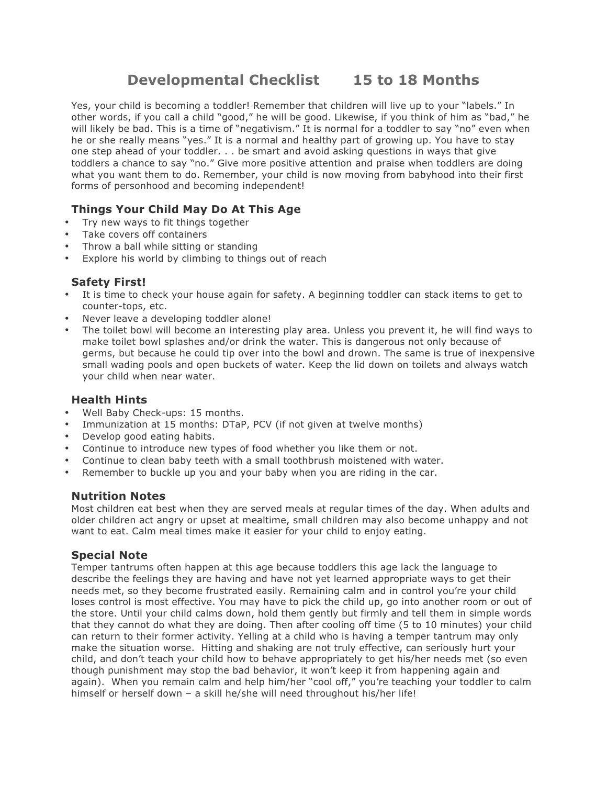# **Developmental Checklist 15 to 18 Months**

Yes, your child is becoming a toddler! Remember that children will live up to your "labels." In other words, if you call a child "good," he will be good. Likewise, if you think of him as "bad," he will likely be bad. This is a time of "negativism." It is normal for a toddler to say "no" even when he or she really means "yes." It is a normal and healthy part of growing up. You have to stay one step ahead of your toddler. . . be smart and avoid asking questions in ways that give toddlers a chance to say "no." Give more positive attention and praise when toddlers are doing what you want them to do. Remember, your child is now moving from babyhood into their first forms of personhood and becoming independent!

## **Things Your Child May Do At This Age**

- Try new ways to fit things together
- Take covers off containers
- Throw a ball while sitting or standing
- Explore his world by climbing to things out of reach

### **Safety First!**

- It is time to check your house again for safety. A beginning toddler can stack items to get to counter-tops, etc.
- Never leave a developing toddler alone!
- The toilet bowl will become an interesting play area. Unless you prevent it, he will find ways to make toilet bowl splashes and/or drink the water. This is dangerous not only because of germs, but because he could tip over into the bowl and drown. The same is true of inexpensive small wading pools and open buckets of water. Keep the lid down on toilets and always watch your child when near water.

#### **Health Hints**

- Well Baby Check-ups: 15 months.
- Immunization at 15 months: DTaP, PCV (if not given at twelve months)
- Develop good eating habits.
- Continue to introduce new types of food whether you like them or not.
- Continue to clean baby teeth with a small toothbrush moistened with water.
- Remember to buckle up you and your baby when you are riding in the car.

#### **Nutrition Notes**

Most children eat best when they are served meals at regular times of the day. When adults and older children act angry or upset at mealtime, small children may also become unhappy and not want to eat. Calm meal times make it easier for your child to enjoy eating.

## **Special Note**

Temper tantrums often happen at this age because toddlers this age lack the language to describe the feelings they are having and have not yet learned appropriate ways to get their needs met, so they become frustrated easily. Remaining calm and in control you're your child loses control is most effective. You may have to pick the child up, go into another room or out of the store. Until your child calms down, hold them gently but firmly and tell them in simple words that they cannot do what they are doing. Then after cooling off time (5 to 10 minutes) your child can return to their former activity. Yelling at a child who is having a temper tantrum may only make the situation worse. Hitting and shaking are not truly effective, can seriously hurt your child, and don't teach your child how to behave appropriately to get his/her needs met (so even though punishment may stop the bad behavior, it won't keep it from happening again and again). When you remain calm and help him/her "cool off," you're teaching your toddler to calm himself or herself down – a skill he/she will need throughout his/her life!